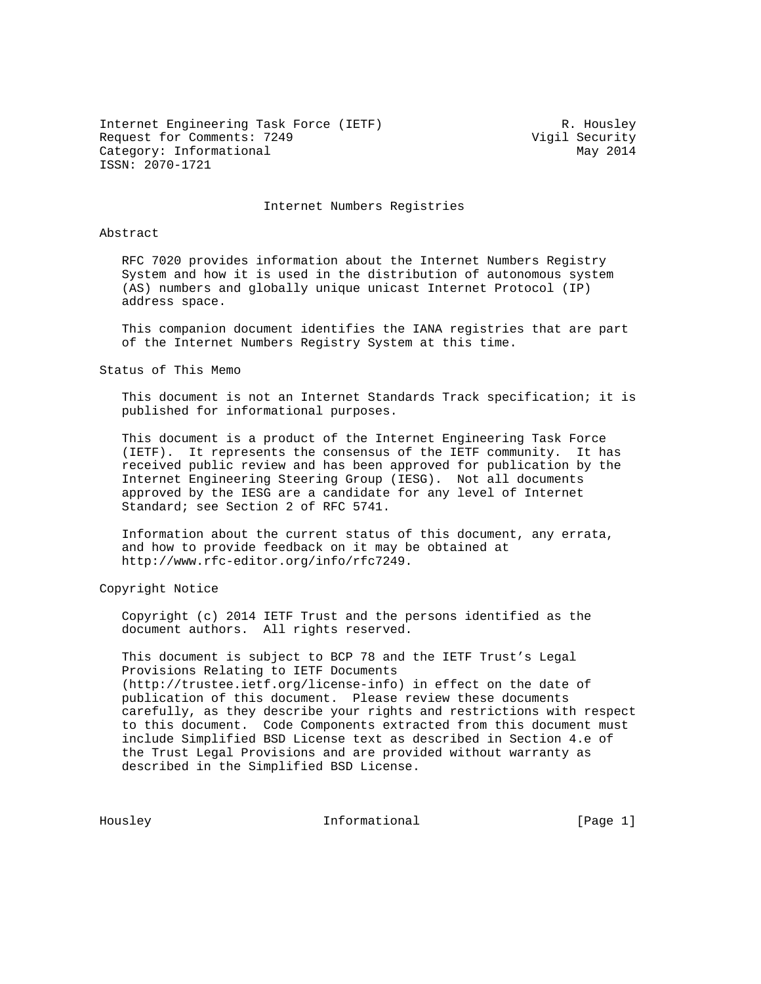Internet Engineering Task Force (IETF) R. Housley Request for Comments: 7249 Vigil Security Category: Informational May 2014 ISSN: 2070-1721

Internet Numbers Registries

## Abstract

 RFC 7020 provides information about the Internet Numbers Registry System and how it is used in the distribution of autonomous system (AS) numbers and globally unique unicast Internet Protocol (IP) address space.

 This companion document identifies the IANA registries that are part of the Internet Numbers Registry System at this time.

Status of This Memo

 This document is not an Internet Standards Track specification; it is published for informational purposes.

 This document is a product of the Internet Engineering Task Force (IETF). It represents the consensus of the IETF community. It has received public review and has been approved for publication by the Internet Engineering Steering Group (IESG). Not all documents approved by the IESG are a candidate for any level of Internet Standard; see Section 2 of RFC 5741.

 Information about the current status of this document, any errata, and how to provide feedback on it may be obtained at http://www.rfc-editor.org/info/rfc7249.

Copyright Notice

 Copyright (c) 2014 IETF Trust and the persons identified as the document authors. All rights reserved.

 This document is subject to BCP 78 and the IETF Trust's Legal Provisions Relating to IETF Documents (http://trustee.ietf.org/license-info) in effect on the date of publication of this document. Please review these documents carefully, as they describe your rights and restrictions with respect to this document. Code Components extracted from this document must include Simplified BSD License text as described in Section 4.e of the Trust Legal Provisions and are provided without warranty as described in the Simplified BSD License.

Housley **Informational** [Page 1]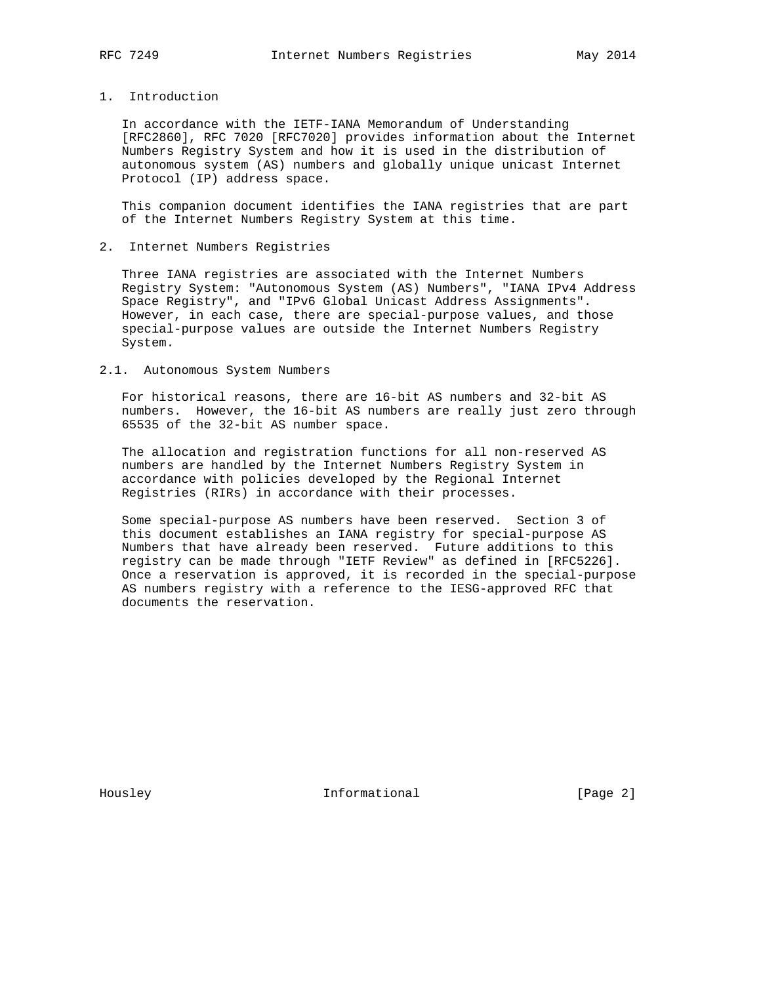## 1. Introduction

 In accordance with the IETF-IANA Memorandum of Understanding [RFC2860], RFC 7020 [RFC7020] provides information about the Internet Numbers Registry System and how it is used in the distribution of autonomous system (AS) numbers and globally unique unicast Internet Protocol (IP) address space.

 This companion document identifies the IANA registries that are part of the Internet Numbers Registry System at this time.

## 2. Internet Numbers Registries

 Three IANA registries are associated with the Internet Numbers Registry System: "Autonomous System (AS) Numbers", "IANA IPv4 Address Space Registry", and "IPv6 Global Unicast Address Assignments". However, in each case, there are special-purpose values, and those special-purpose values are outside the Internet Numbers Registry System.

### 2.1. Autonomous System Numbers

 For historical reasons, there are 16-bit AS numbers and 32-bit AS numbers. However, the 16-bit AS numbers are really just zero through 65535 of the 32-bit AS number space.

 The allocation and registration functions for all non-reserved AS numbers are handled by the Internet Numbers Registry System in accordance with policies developed by the Regional Internet Registries (RIRs) in accordance with their processes.

 Some special-purpose AS numbers have been reserved. Section 3 of this document establishes an IANA registry for special-purpose AS Numbers that have already been reserved. Future additions to this registry can be made through "IETF Review" as defined in [RFC5226]. Once a reservation is approved, it is recorded in the special-purpose AS numbers registry with a reference to the IESG-approved RFC that documents the reservation.

Housley **Informational** [Page 2]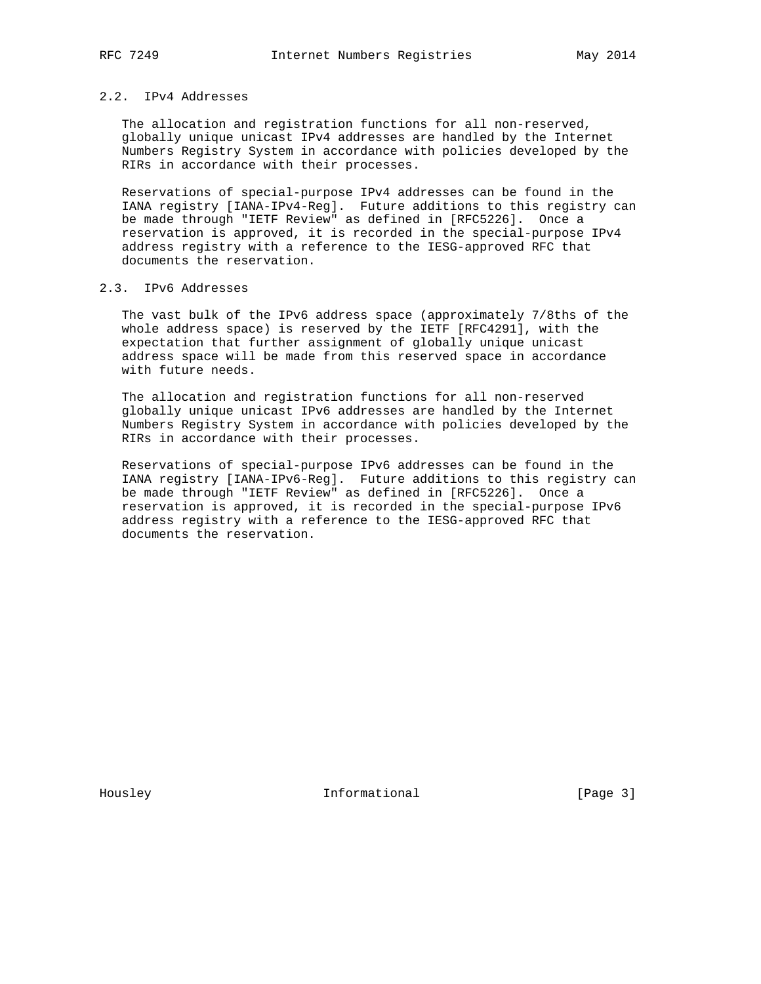## 2.2. IPv4 Addresses

 The allocation and registration functions for all non-reserved, globally unique unicast IPv4 addresses are handled by the Internet Numbers Registry System in accordance with policies developed by the RIRs in accordance with their processes.

 Reservations of special-purpose IPv4 addresses can be found in the IANA registry [IANA-IPv4-Reg]. Future additions to this registry can be made through "IETF Review" as defined in [RFC5226]. Once a reservation is approved, it is recorded in the special-purpose IPv4 address registry with a reference to the IESG-approved RFC that documents the reservation.

## 2.3. IPv6 Addresses

 The vast bulk of the IPv6 address space (approximately 7/8ths of the whole address space) is reserved by the IETF [RFC4291], with the expectation that further assignment of globally unique unicast address space will be made from this reserved space in accordance with future needs.

 The allocation and registration functions for all non-reserved globally unique unicast IPv6 addresses are handled by the Internet Numbers Registry System in accordance with policies developed by the RIRs in accordance with their processes.

 Reservations of special-purpose IPv6 addresses can be found in the IANA registry [IANA-IPv6-Reg]. Future additions to this registry can be made through "IETF Review" as defined in [RFC5226]. Once a reservation is approved, it is recorded in the special-purpose IPv6 address registry with a reference to the IESG-approved RFC that documents the reservation.

Housley **Informational** [Page 3]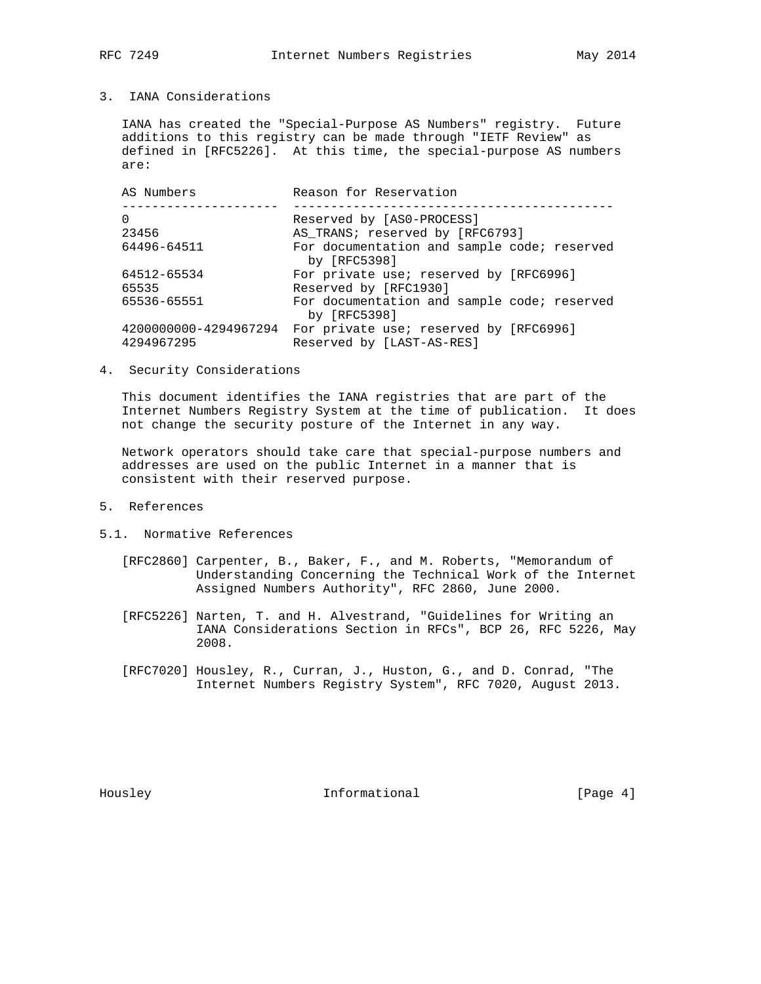3. IANA Considerations

 IANA has created the "Special-Purpose AS Numbers" registry. Future additions to this registry can be made through "IETF Review" as defined in [RFC5226]. At this time, the special-purpose AS numbers are:

| AS Numbers                          | Reason for Reservation                                              |
|-------------------------------------|---------------------------------------------------------------------|
|                                     | Reserved by [AS0-PROCESS]                                           |
| 23456                               | AS TRANS; reserved by [RFC6793]                                     |
| 64496-64511                         | For documentation and sample code; reserved<br>by $[RFC5398]$       |
| 64512-65534                         | For private use; reserved by [RFC6996]                              |
| 65535                               | Reserved by [RFC1930]                                               |
| 65536-65551                         | For documentation and sample code; reserved<br>by $[RFC5398]$       |
| 4200000000-4294967294<br>4294967295 | For private use; reserved by [RFC6996]<br>Reserved by [LAST-AS-RES] |

4. Security Considerations

 This document identifies the IANA registries that are part of the Internet Numbers Registry System at the time of publication. It does not change the security posture of the Internet in any way.

 Network operators should take care that special-purpose numbers and addresses are used on the public Internet in a manner that is consistent with their reserved purpose.

- 5. References
- 5.1. Normative References
	- [RFC2860] Carpenter, B., Baker, F., and M. Roberts, "Memorandum of Understanding Concerning the Technical Work of the Internet Assigned Numbers Authority", RFC 2860, June 2000.
	- [RFC5226] Narten, T. and H. Alvestrand, "Guidelines for Writing an IANA Considerations Section in RFCs", BCP 26, RFC 5226, May 2008.
	- [RFC7020] Housley, R., Curran, J., Huston, G., and D. Conrad, "The Internet Numbers Registry System", RFC 7020, August 2013.

Housley **Informational** [Page 4]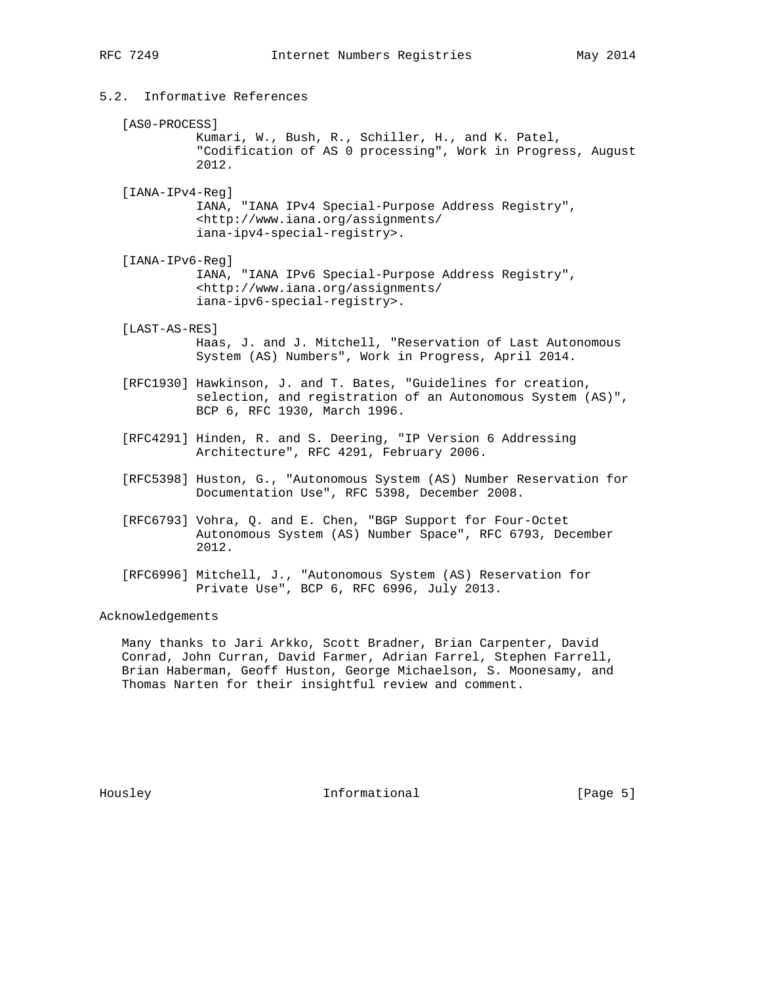# 5.2. Informative References

#### [AS0-PROCESS]

 Kumari, W., Bush, R., Schiller, H., and K. Patel, "Codification of AS 0 processing", Work in Progress, August 2012.

 [IANA-IPv4-Reg] IANA, "IANA IPv4 Special-Purpose Address Registry", <http://www.iana.org/assignments/ iana-ipv4-special-registry>.

 [IANA-IPv6-Reg] IANA, "IANA IPv6 Special-Purpose Address Registry", <http://www.iana.org/assignments/ iana-ipv6-special-registry>.

### [LAST-AS-RES]

- Haas, J. and J. Mitchell, "Reservation of Last Autonomous System (AS) Numbers", Work in Progress, April 2014.
- [RFC1930] Hawkinson, J. and T. Bates, "Guidelines for creation, selection, and registration of an Autonomous System (AS)", BCP 6, RFC 1930, March 1996.
- [RFC4291] Hinden, R. and S. Deering, "IP Version 6 Addressing Architecture", RFC 4291, February 2006.
- [RFC5398] Huston, G., "Autonomous System (AS) Number Reservation for Documentation Use", RFC 5398, December 2008.
- [RFC6793] Vohra, Q. and E. Chen, "BGP Support for Four-Octet Autonomous System (AS) Number Space", RFC 6793, December 2012.
- [RFC6996] Mitchell, J., "Autonomous System (AS) Reservation for Private Use", BCP 6, RFC 6996, July 2013.

### Acknowledgements

 Many thanks to Jari Arkko, Scott Bradner, Brian Carpenter, David Conrad, John Curran, David Farmer, Adrian Farrel, Stephen Farrell, Brian Haberman, Geoff Huston, George Michaelson, S. Moonesamy, and Thomas Narten for their insightful review and comment.

Housley **Informational** [Page 5]